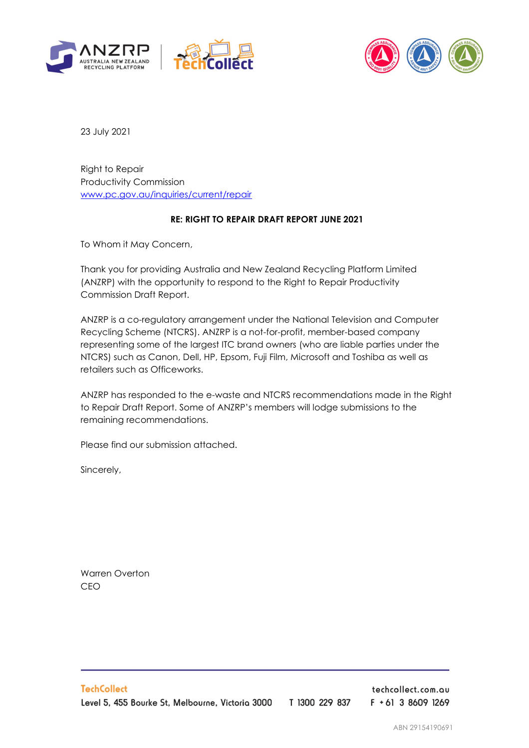





23 July 2021

Right to Repair Productivity Commission [www.pc.gov.au/inquiries/current/repair](http://www.pc.gov.au/inquiries/current/repair)

# **RE: RIGHT TO REPAIR DRAFT REPORT JUNE 2021**

To Whom it May Concern,

Thank you for providing Australia and New Zealand Recycling Platform Limited (ANZRP) with the opportunity to respond to the Right to Repair Productivity Commission Draft Report.

ANZRP is a co-regulatory arrangement under the National Television and Computer Recycling Scheme (NTCRS). ANZRP is a not-for-profit, member-based company representing some of the largest ITC brand owners (who are liable parties under the NTCRS) such as Canon, Dell, HP, Epsom, Fuji Film, Microsoft and Toshiba as well as retailers such as Officeworks.

ANZRP has responded to the e-waste and NTCRS recommendations made in the Right to Repair Draft Report. Some of ANZRP's members will lodge submissions to the remaining recommendations.

Please find our submission attached.

Sincerely,

Warren Overton CEO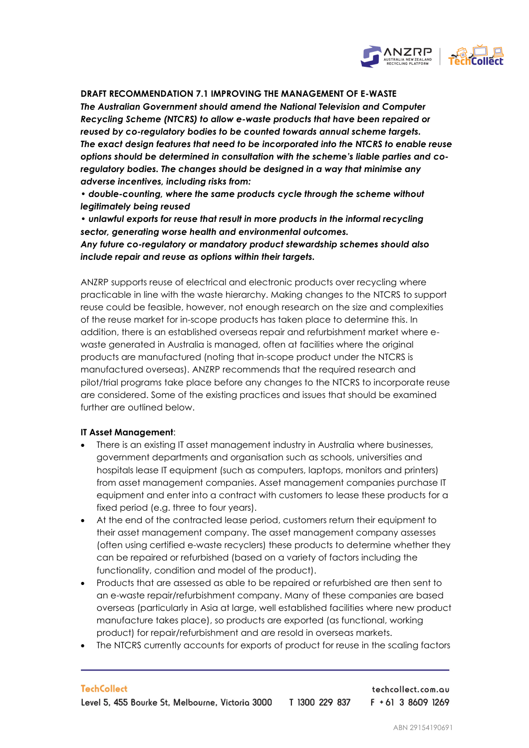

#### **DRAFT RECOMMENDATION 7.1 IMPROVING THE MANAGEMENT OF E-WASTE**

*The Australian Government should amend the National Television and Computer Recycling Scheme (NTCRS) to allow e-waste products that have been repaired or reused by co-regulatory bodies to be counted towards annual scheme targets. The exact design features that need to be incorporated into the NTCRS to enable reuse options should be determined in consultation with the scheme's liable parties and coregulatory bodies. The changes should be designed in a way that minimise any adverse incentives, including risks from:*

*• double-counting, where the same products cycle through the scheme without legitimately being reused*

*• unlawful exports for reuse that result in more products in the informal recycling sector, generating worse health and environmental outcomes.*

*Any future co-regulatory or mandatory product stewardship schemes should also include repair and reuse as options within their targets.*

ANZRP supports reuse of electrical and electronic products over recycling where practicable in line with the waste hierarchy. Making changes to the NTCRS to support reuse could be feasible, however, not enough research on the size and complexities of the reuse market for in-scope products has taken place to determine this. In addition, there is an established overseas repair and refurbishment market where ewaste generated in Australia is managed, often at facilities where the original products are manufactured (noting that in-scope product under the NTCRS is manufactured overseas). ANZRP recommends that the required research and pilot/trial programs take place before any changes to the NTCRS to incorporate reuse are considered. Some of the existing practices and issues that should be examined further are outlined below.

#### **IT Asset Management**:

- There is an existing IT asset management industry in Australia where businesses, government departments and organisation such as schools, universities and hospitals lease IT equipment (such as computers, laptops, monitors and printers) from asset management companies. Asset management companies purchase IT equipment and enter into a contract with customers to lease these products for a fixed period (e.g. three to four years).
- At the end of the contracted lease period, customers return their equipment to their asset management company. The asset management company assesses (often using certified e-waste recyclers) these products to determine whether they can be repaired or refurbished (based on a variety of factors including the functionality, condition and model of the product).
- Products that are assessed as able to be repaired or refurbished are then sent to an e-waste repair/refurbishment company. Many of these companies are based overseas (particularly in Asia at large, well established facilities where new product manufacture takes place), so products are exported (as functional, working product) for repair/refurbishment and are resold in overseas markets.
- The NTCRS currently accounts for exports of product for reuse in the scaling factors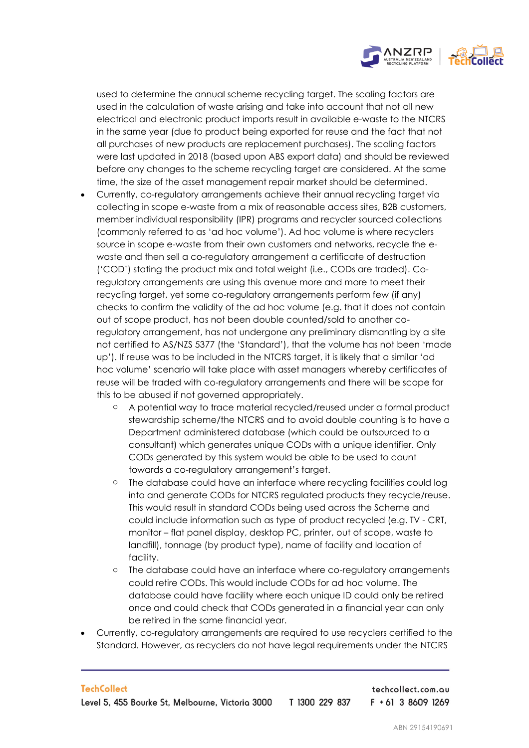

used to determine the annual scheme recycling target. The scaling factors are used in the calculation of waste arising and take into account that not all new electrical and electronic product imports result in available e-waste to the NTCRS in the same year (due to product being exported for reuse and the fact that not all purchases of new products are replacement purchases). The scaling factors were last updated in 2018 (based upon ABS export data) and should be reviewed before any changes to the scheme recycling target are considered. At the same time, the size of the asset management repair market should be determined.

- Currently, co-regulatory arrangements achieve their annual recycling target via collecting in scope e-waste from a mix of reasonable access sites, B2B customers, member individual responsibility (IPR) programs and recycler sourced collections (commonly referred to as 'ad hoc volume'). Ad hoc volume is where recyclers source in scope e-waste from their own customers and networks, recycle the ewaste and then sell a co-regulatory arrangement a certificate of destruction ('COD') stating the product mix and total weight (i.e., CODs are traded). Coregulatory arrangements are using this avenue more and more to meet their recycling target, yet some co-regulatory arrangements perform few (if any) checks to confirm the validity of the ad hoc volume (e.g. that it does not contain out of scope product, has not been double counted/sold to another coregulatory arrangement, has not undergone any preliminary dismantling by a site not certified to AS/NZS 5377 (the 'Standard'), that the volume has not been 'made up'). If reuse was to be included in the NTCRS target, it is likely that a similar 'ad hoc volume' scenario will take place with asset managers whereby certificates of reuse will be traded with co-regulatory arrangements and there will be scope for this to be abused if not governed appropriately.
	- o A potential way to trace material recycled/reused under a formal product stewardship scheme/the NTCRS and to avoid double counting is to have a Department administered database (which could be outsourced to a consultant) which generates unique CODs with a unique identifier. Only CODs generated by this system would be able to be used to count towards a co-regulatory arrangement's target.
	- o The database could have an interface where recycling facilities could log into and generate CODs for NTCRS regulated products they recycle/reuse. This would result in standard CODs being used across the Scheme and could include information such as type of product recycled (e.g. TV - CRT, monitor – flat panel display, desktop PC, printer, out of scope, waste to landfill), tonnage (by product type), name of facility and location of facility.
	- o The database could have an interface where co-regulatory arrangements could retire CODs. This would include CODs for ad hoc volume. The database could have facility where each unique ID could only be retired once and could check that CODs generated in a financial year can only be retired in the same financial year.
- Currently, co-regulatory arrangements are required to use recyclers certified to the Standard. However, as recyclers do not have legal requirements under the NTCRS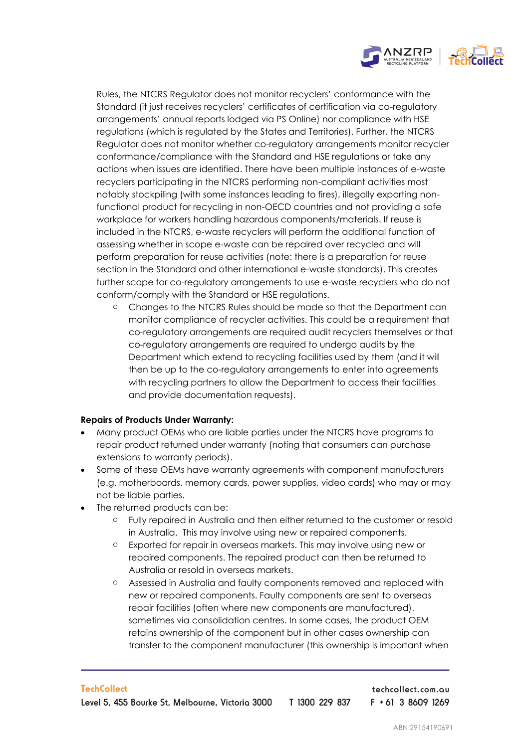

Rules, the NTCRS Regulator does not monitor recyclers' conformance with the Standard (it just receives recyclers' certificates of certification via co-regulatory arrangements' annual reports lodged via PS Online) nor compliance with HSE regulations (which is regulated by the States and Territories). Further, the NTCRS Regulator does not monitor whether co-regulatory arrangements monitor recycler conformance/compliance with the Standard and HSE regulations or take any actions when issues are identified. There have been multiple instances of e-waste recyclers participating in the NTCRS performing non-compliant activities most notably stockpiling (with some instances leading to fires), illegally exporting nonfunctional product for recycling in non-OECD countries and not providing a safe workplace for workers handling hazardous components/materials. If reuse is included in the NTCRS, e-waste recyclers will perform the additional function of assessing whether in scope e-waste can be repaired over recycled and will perform preparation for reuse activities (note: there is a preparation for reuse section in the Standard and other international e-waste standards). This creates further scope for co-regulatory arrangements to use e-waste recyclers who do not conform/comply with the Standard or HSE regulations.

o Changes to the NTCRS Rules should be made so that the Department can monitor compliance of recycler activities. This could be a requirement that co-regulatory arrangements are required audit recyclers themselves or that co-regulatory arrangements are required to undergo audits by the Department which extend to recycling facilities used by them (and it will then be up to the co-regulatory arrangements to enter into agreements with recycling partners to allow the Department to access their facilities and provide documentation requests).

### **Repairs of Products Under Warranty:**

- Many product OEMs who are liable parties under the NTCRS have programs to repair product returned under warranty (noting that consumers can purchase extensions to warranty periods).
- Some of these OEMs have warranty agreements with component manufacturers (e.g. motherboards, memory cards, power supplies, video cards) who may or may not be liable parties.
- The returned products can be:
	- o Fully repaired in Australia and then either returned to the customer or resold in Australia. This may involve using new or repaired components.
	- o Exported for repair in overseas markets. This may involve using new or repaired components. The repaired product can then be returned to Australia or resold in overseas markets.
	- o Assessed in Australia and faulty components removed and replaced with new or repaired components. Faulty components are sent to overseas repair facilities (often where new components are manufactured), sometimes via consolidation centres. In some cases, the product OEM retains ownership of the component but in other cases ownership can transfer to the component manufacturer (this ownership is important when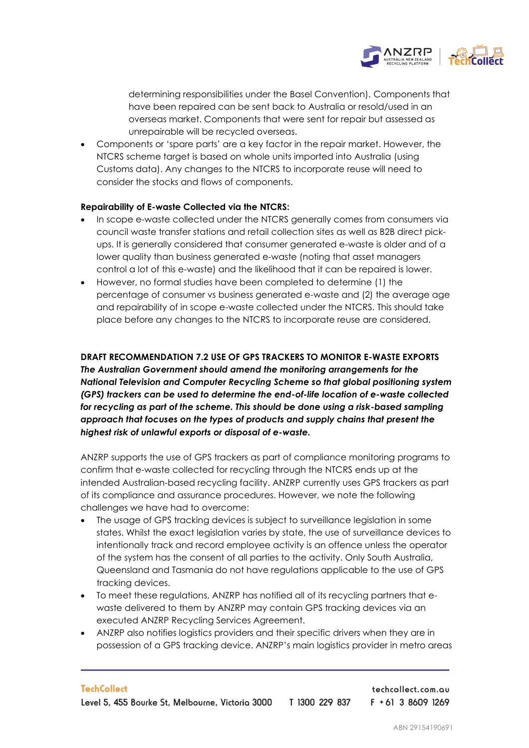

determining responsibilities under the Basel Convention). Components that have been repaired can be sent back to Australia or resold/used in an overseas market. Components that were sent for repair but assessed as unrepairable will be recycled overseas.

• Components or 'spare parts' are a key factor in the repair market. However, the NTCRS scheme target is based on whole units imported into Australia (using Customs data). Any changes to the NTCRS to incorporate reuse will need to consider the stocks and flows of components.

# **Repairability of E-waste Collected via the NTCRS:**

- In scope e-waste collected under the NTCRS generally comes from consumers via council waste transfer stations and retail collection sites as well as B2B direct pickups. It is generally considered that consumer generated e-waste is older and of a lower quality than business generated e-waste (noting that asset managers control a lot of this e-waste) and the likelihood that it can be repaired is lower.
- However, no formal studies have been completed to determine (1) the percentage of consumer vs business generated e-waste and (2) the average age and repairability of in scope e-waste collected under the NTCRS. This should take place before any changes to the NTCRS to incorporate reuse are considered.

**DRAFT RECOMMENDATION 7.2 USE OF GPS TRACKERS TO MONITOR E-WASTE EXPORTS** *The Australian Government should amend the monitoring arrangements for the National Television and Computer Recycling Scheme so that global positioning system (GPS) trackers can be used to determine the end-of-life location of e-waste collected for recycling as part of the scheme. This should be done using a risk-based sampling approach that focuses on the types of products and supply chains that present the highest risk of unlawful exports or disposal of e-waste.*

ANZRP supports the use of GPS trackers as part of compliance monitoring programs to confirm that e-waste collected for recycling through the NTCRS ends up at the intended Australian-based recycling facility. ANZRP currently uses GPS trackers as part of its compliance and assurance procedures. However, we note the following challenges we have had to overcome:

- The usage of GPS tracking devices is subject to surveillance legislation in some states. Whilst the exact legislation varies by state, the use of surveillance devices to intentionally track and record employee activity is an offence unless the operator of the system has the consent of all parties to the activity. Only South Australia, Queensland and Tasmania do not have regulations applicable to the use of GPS tracking devices.
- To meet these regulations, ANZRP has notified all of its recycling partners that ewaste delivered to them by ANZRP may contain GPS tracking devices via an executed ANZRP Recycling Services Agreement.
- ANZRP also notifies logistics providers and their specific drivers when they are in possession of a GPS tracking device. ANZRP's main logistics provider in metro areas